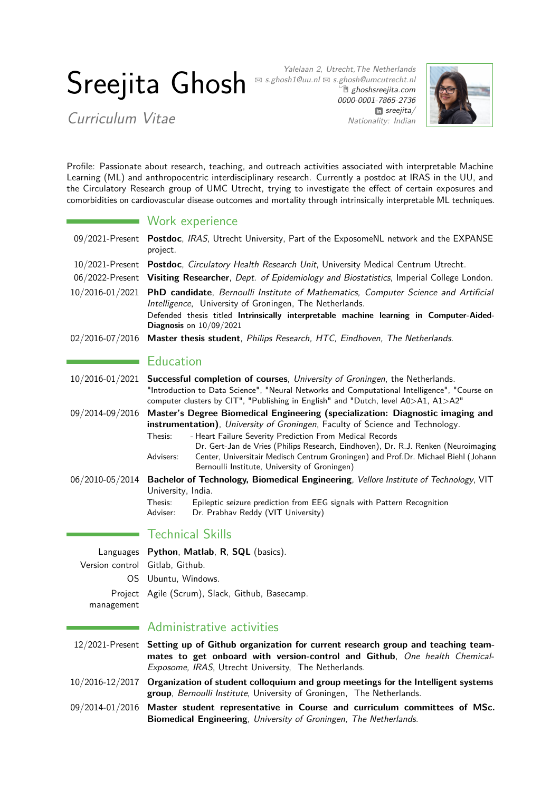# Sreejita Ghosh

Curriculum Vitae

Yalelaan 2, Utrecht,The Netherlands  $\boxtimes$  s.ghosh1@uu.nl  $\boxtimes$  s.ghosh@umcutrecht.nl <sup>n</sup> [ghoshsreejita.com](http://ghoshsreejita.com) [0000-0001-7865-2736](https://orcid.org/0000-0001-7865-2736) m [sreejita/](https://www.linkedin.com/in/sreejita/) Nationality: Indian



Profile: Passionate about research, teaching, and outreach activities associated with interpretable Machine Learning (ML) and anthropocentric interdisciplinary research. Currently a postdoc at IRAS in the UU, and the Circulatory Research group of UMC Utrecht, trying to investigate the effect of certain exposures and comorbidities on cardiovascular disease outcomes and mortality through intrinsically interpretable ML techniques.

|  | Work experience |  |  |
|--|-----------------|--|--|
|  |                 |  |  |

- 09/2021-Present **Postdoc**, IRAS, Utrecht University, Part of the ExposomeNL network and the EXPANSE project.
- 10/2021-Present **Postdoc**, Circulatory Health Research Unit, University Medical Centrum Utrecht.
- 06/2022-Present **Visiting Researcher**, Dept. of Epidemiology and Biostatistics, Imperial College London.
- 10/2016-01/2021 **PhD candidate**, Bernoulli Institute of Mathematics, Computer Science and Artificial Intelligence, University of Groningen, The Netherlands. Defended thesis titled **Intrinsically interpretable machine learning in Computer-Aided-Diagnosis** on 10/09/2021
- 02/2016-07/2016 **Master thesis student**, Philips Research, HTC, Eindhoven, The Netherlands.

## **Education**

|                 | 10/2016-01/2021 Successful completion of courses, University of Groningen, the Netherlands.<br>"Introduction to Data Science", "Neural Networks and Computational Intelligence", "Course on<br>computer clusters by CIT", "Publishing in English" and "Dutch, level A0>A1, A1>A2"                             |
|-----------------|---------------------------------------------------------------------------------------------------------------------------------------------------------------------------------------------------------------------------------------------------------------------------------------------------------------|
|                 | 09/2014-09/2016 Master's Degree Biomedical Engineering (specialization: Diagnostic imaging and<br>instrumentation), University of Groningen, Faculty of Science and Technology.                                                                                                                               |
|                 | - Heart Failure Severity Prediction From Medical Records<br>Thesis:<br>Dr. Gert-Jan de Vries (Philips Research, Eindhoven), Dr. R.J. Renken (Neuroimaging<br>Center, Universitair Medisch Centrum Groningen) and Prof.Dr. Michael Biehl (Johann<br>Advisers:<br>Bernoulli Institute, University of Groningen) |
| 06/2010-05/2014 | Bachelor of Technology, Biomedical Engineering, Vellore Institute of Technology, VIT<br>University, India.<br>Epileptic seizure prediction from EEG signals with Pattern Recognition<br>Thesis:<br>Dr. Prabhav Reddy (VIT University)<br>Adviser:                                                             |

## Technical Skills

Languages **Python**, **Matlab**, **R**, **SQL** (basics). Version control Gitlab, Github. OS Ubuntu, Windows. Project Agile (Scrum), Slack, Github, Basecamp. management

## Administrative activities

- 12/2021-Present **Setting up of Github organization for current research group and teaching teammates to get onboard with version-control and Github**, One health Chemical-Exposome, IRAS, Utrecht University, The Netherlands.
- 10/2016-12/2017 **Organization of student colloquium and group meetings for the Intelligent systems group**, Bernoulli Institute, University of Groningen, The Netherlands.
- 09/2014-01/2016 **Master student representative in Course and curriculum committees of MSc. Biomedical Engineering**, University of Groningen, The Netherlands.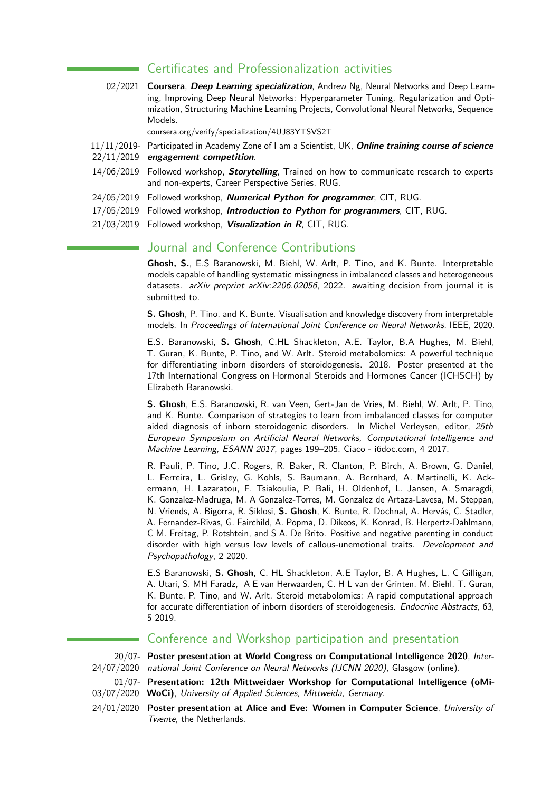## Certificates and Professionalization activities

02/2021 **Coursera**, **Deep Learning specialization**, Andrew Ng, Neural Networks and Deep Learning, Improving Deep Neural Networks: Hyperparameter Tuning, Regularization and Optimization, Structuring Machine Learning Projects, Convolutional Neural Networks, Sequence Models.

coursera.org/verify/specialization/4UJ83YTSVS2T

- 11/11/2019- Participated in Academy Zone of I am a Scientist, UK, **Online training course of science** 22/11/2019 **engagement competition**.
- 14/06/2019 Followed workshop, **Storytelling**, Trained on how to communicate research to experts and non-experts, Career Perspective Series, RUG.
- 24/05/2019 Followed workshop, **Numerical Python for programmer**, CIT, RUG.
- 17/05/2019 Followed workshop, **Introduction to Python for programmers**, CIT, RUG.
- 21/03/2019 Followed workshop, **Visualization in R**, CIT, RUG.

## Journal and Conference Contributions

**Ghosh, S.**, E.S Baranowski, M. Biehl, W. Arlt, P. Tino, and K. Bunte. Interpretable models capable of handling systematic missingness in imbalanced classes and heterogeneous datasets. arXiv preprint arXiv:2206.02056, 2022. awaiting decision from journal it is submitted to.

**S. Ghosh**, P. Tino, and K. Bunte. Visualisation and knowledge discovery from interpretable models. In Proceedings of International Joint Conference on Neural Networks. IEEE, 2020.

E.S. Baranowski, **S. Ghosh**, C.HL Shackleton, A.E. Taylor, B.A Hughes, M. Biehl, T. Guran, K. Bunte, P. Tino, and W. Arlt. Steroid metabolomics: A powerful technique for differentiating inborn disorders of steroidogenesis. 2018. Poster presented at the 17th International Congress on Hormonal Steroids and Hormones Cancer (ICHSCH) by Elizabeth Baranowski.

**S. Ghosh**, E.S. Baranowski, R. van Veen, Gert-Jan de Vries, M. Biehl, W. Arlt, P. Tino, and K. Bunte. Comparison of strategies to learn from imbalanced classes for computer aided diagnosis of inborn steroidogenic disorders. In Michel Verleysen, editor, 25th European Symposium on Artificial Neural Networks, Computational Intelligence and Machine Learning, ESANN 2017, pages 199–205. Ciaco - i6doc.com, 4 2017.

R. Pauli, P. Tino, J.C. Rogers, R. Baker, R. Clanton, P. Birch, A. Brown, G. Daniel, L. Ferreira, L. Grisley, G. Kohls, S. Baumann, A. Bernhard, A. Martinelli, K. Ackermann, H. Lazaratou, F. Tsiakoulia, P. Bali, H. Oldenhof, L. Jansen, A. Smaragdi, K. Gonzalez-Madruga, M. A Gonzalez-Torres, M. Gonzalez de Artaza-Lavesa, M. Steppan, N. Vriends, A. Bigorra, R. Siklosi, **S. Ghosh**, K. Bunte, R. Dochnal, A. Hervás, C. Stadler, A. Fernandez-Rivas, G. Fairchild, A. Popma, D. Dikeos, K. Konrad, B. Herpertz-Dahlmann, C M. Freitag, P. Rotshtein, and S A. De Brito. Positive and negative parenting in conduct disorder with high versus low levels of callous-unemotional traits. Development and Psychopathology, 2 2020.

E.S Baranowski, **S. Ghosh**, C. HL Shackleton, A.E Taylor, B. A Hughes, L. C Gilligan, A. Utari, S. MH Faradz, A E van Herwaarden, C. H L van der Grinten, M. Biehl, T. Guran, K. Bunte, P. Tino, and W. Arlt. Steroid metabolomics: A rapid computational approach for accurate differentiation of inborn disorders of steroidogenesis. Endocrine Abstracts, 63, 5 2019.

## Conference and Workshop participation and presentation

20/07- **Poster presentation at World Congress on Computational Intelligence 2020**, Inter-24/07/2020 national Joint Conference on Neural Networks (IJCNN 2020), Glasgow (online).

- 01/07- **Presentation: 12th Mittweidaer Workshop for Computational Intelligence (oMi-**03/07/2020 **WoCi)**, University of Applied Sciences, Mittweida, Germany.
- 24/01/2020 **Poster presentation at Alice and Eve: Women in Computer Science**, University of Twente, the Netherlands.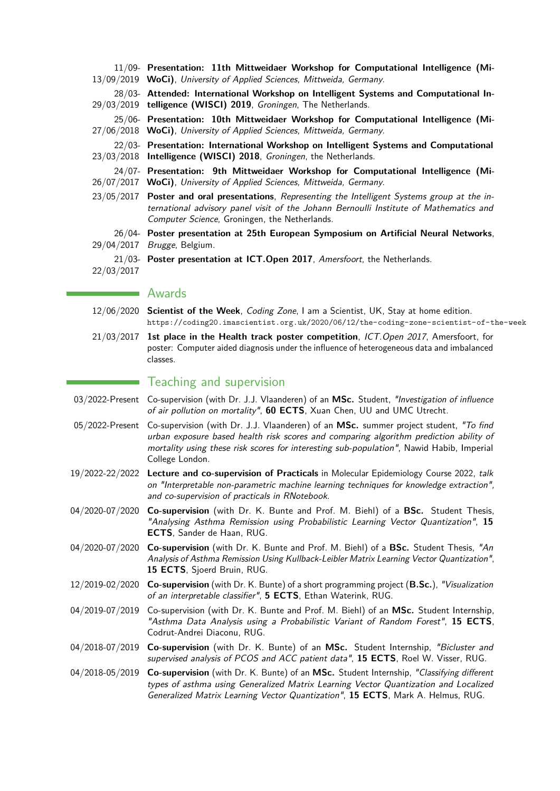|            | 11/09- Presentation: 11th Mittweidaer Workshop for Computational Intelligence (Mi-<br>13/09/2019 WoCi), University of Applied Sciences, Mittweida, Germany.                                                                               |
|------------|-------------------------------------------------------------------------------------------------------------------------------------------------------------------------------------------------------------------------------------------|
|            | 28/03- Attended: International Workshop on Intelligent Systems and Computational In-<br>29/03/2019 telligence (WISCI) 2019, Groningen, The Netherlands.                                                                                   |
|            | 25/06- Presentation: 10th Mittweidaer Workshop for Computational Intelligence (Mi-<br>27/06/2018 WoCi), University of Applied Sciences, Mittweida, Germany.                                                                               |
|            | 22/03- Presentation: International Workshop on Intelligent Systems and Computational<br>23/03/2018 Intelligence (WISCI) 2018, Groningen, the Netherlands.                                                                                 |
|            | 24/07- Presentation: 9th Mittweidaer Workshop for Computational Intelligence (Mi-<br>26/07/2017 WoCi), University of Applied Sciences, Mittweida, Germany.                                                                                |
|            | 23/05/2017 Poster and oral presentations, Representing the Intelligent Systems group at the in-<br>ternational advisory panel visit of the Johann Bernoulli Institute of Mathematics and<br>Computer Science, Groningen, the Netherlands. |
| 29/04/2017 | 26/04- Poster presentation at 25th European Symposium on Artificial Neural Networks,<br>Brugge, Belgium.                                                                                                                                  |
| 22/03/2017 | 21/03- Poster presentation at ICT. Open 2017, Amersfoort, the Netherlands.                                                                                                                                                                |

#### **Awards**

- 12/06/2020 **Scientist of the Week**, Coding Zone, I am a Scientist, UK, Stay at home edition. <https://coding20.imascientist.org.uk/2020/06/12/the-coding-zone-scientist-of-the-week>
- 21/03/2017 **1st place in the Health track poster competition**, ICT.Open 2017, Amersfoort, for poster: Computer aided diagnosis under the influence of heterogeneous data and imbalanced classes.

### Teaching and supervision

- 03/2022-Present Co-supervision (with Dr. J.J. Vlaanderen) of an **MSc.** Student, "Investigation of influence of air pollution on mortality", **60 ECTS**, Xuan Chen, UU and UMC Utrecht.
- 05/2022-Present Co-supervision (with Dr. J.J. Vlaanderen) of an **MSc.** summer project student, "To find urban exposure based health risk scores and comparing algorithm prediction ability of mortality using these risk scores for interesting sub-population", Nawid Habib, Imperial College London.
- 19/2022-22/2022 **Lecture and co-supervision of Practicals** in Molecular Epidemiology Course 2022, talk on "Interpretable non-parametric machine learning techniques for knowledge extraction", and co-supervision of practicals in RNotebook.
- 04/2020-07/2020 **Co-supervision** (with Dr. K. Bunte and Prof. M. Biehl) of a **BSc.** Student Thesis, "Analysing Asthma Remission using Probabilistic Learning Vector Quantization", **15 ECTS**, Sander de Haan, RUG.
- 04/2020-07/2020 **Co-supervision** (with Dr. K. Bunte and Prof. M. Biehl) of a **BSc.** Student Thesis, "An Analysis of Asthma Remission Using Kullback-Leibler Matrix Learning Vector Quantization", **15 ECTS**, Sjoerd Bruin, RUG.
- 12/2019-02/2020 **Co-supervision** (with Dr. K. Bunte) of a short programming project (**B.Sc.**), "Visualization of an interpretable classifier", **5 ECTS**, Ethan Waterink, RUG.
- 04/2019-07/2019 Co-supervision (with Dr. K. Bunte and Prof. M. Biehl) of an **MSc.** Student Internship, "Asthma Data Analysis using a Probabilistic Variant of Random Forest", **15 ECTS**, Codrut-Andrei Diaconu, RUG.
- 04/2018-07/2019 **Co-supervision** (with Dr. K. Bunte) of an **MSc.** Student Internship, "Bicluster and supervised analysis of PCOS and ACC patient data", **15 ECTS**, Roel W. Visser, RUG.
- 04/2018-05/2019 **Co-supervision** (with Dr. K. Bunte) of an **MSc.** Student Internship, "Classifying different types of asthma using Generalized Matrix Learning Vector Quantization and Localized Generalized Matrix Learning Vector Quantization", **15 ECTS**, Mark A. Helmus, RUG.